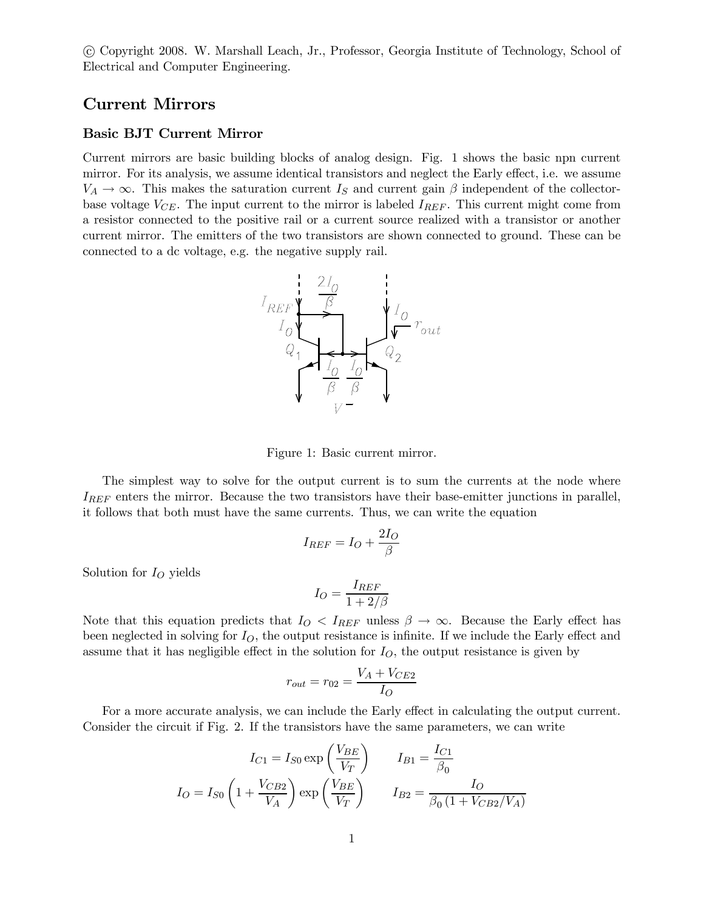°c Copyright 2008. W. Marshall Leach, Jr., Professor, Georgia Institute of Technology, School of Electrical and Computer Engineering.

# Current Mirrors

## Basic BJT Current Mirror

Current mirrors are basic building blocks of analog design. Fig. 1 shows the basic npn current mirror. For its analysis, we assume identical transistors and neglect the Early effect, i.e. we assume  $V_A \rightarrow \infty$ . This makes the saturation current I<sub>S</sub> and current gain  $\beta$  independent of the collectorbase voltage  $V_{CE}$ . The input current to the mirror is labeled  $I_{REF}$ . This current might come from a resistor connected to the positive rail or a current source realized with a transistor or another current mirror. The emitters of the two transistors are shown connected to ground. These can be connected to a dc voltage, e.g. the negative supply rail.



Figure 1: Basic current mirror.

The simplest way to solve for the output current is to sum the currents at the node where  $I_{REF}$  enters the mirror. Because the two transistors have their base-emitter junctions in parallel, it follows that both must have the same currents. Thus, we can write the equation

$$
I_{REF}=I_O+\frac{2I_O}{\beta}
$$

Solution for  $I<sub>O</sub>$  yields

$$
I_O = \frac{I_{REF}}{1+2/\beta}
$$

Note that this equation predicts that  $I_{O} < I_{REF}$  unless  $\beta \rightarrow \infty$ . Because the Early effect has been neglected in solving for  $I_O$ , the output resistance is infinite. If we include the Early effect and assume that it has negligible effect in the solution for  $I_O$ , the output resistance is given by

$$
r_{out} = r_{02} = \frac{V_A + V_{CE2}}{I_O}
$$

For a more accurate analysis, we can include the Early effect in calculating the output current. Consider the circuit if Fig. 2. If the transistors have the same parameters, we can write

$$
I_{C1} = I_{S0} \exp\left(\frac{V_{BE}}{V_T}\right) \qquad I_{B1} = \frac{I_{C1}}{\beta_0}
$$

$$
I_{O} = I_{S0} \left(1 + \frac{V_{CB2}}{V_A}\right) \exp\left(\frac{V_{BE}}{V_T}\right) \qquad I_{B2} = \frac{I_{O}}{\beta_0 \left(1 + V_{CB2}/V_A\right)}
$$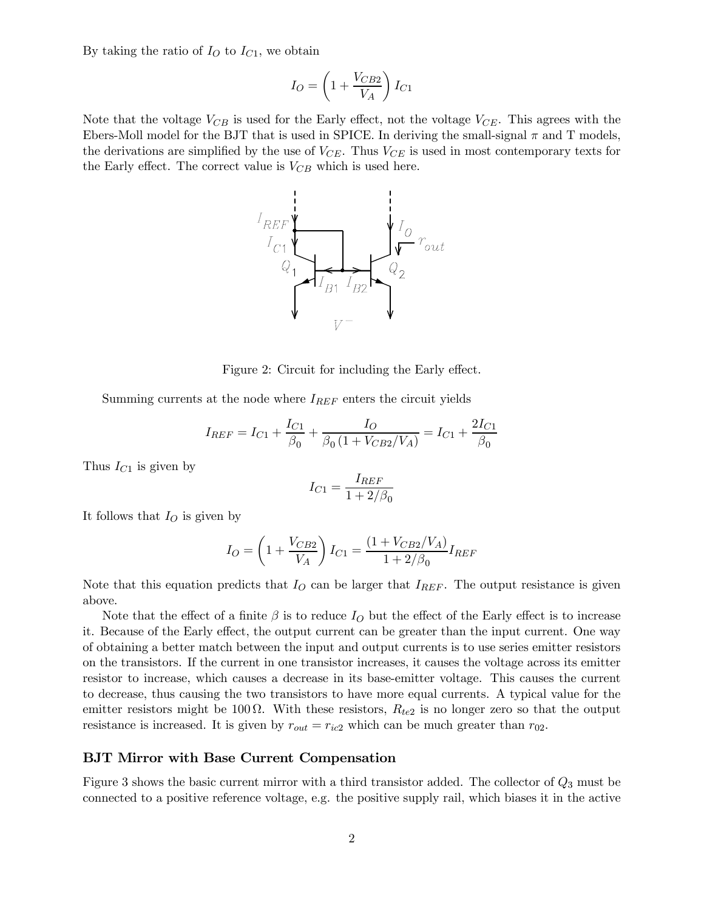By taking the ratio of  $I<sub>O</sub>$  to  $I<sub>C1</sub>$ , we obtain

$$
I_O = \left(1 + \frac{V_{CB2}}{V_A}\right)I_{C1}
$$

Note that the voltage  $V_{CB}$  is used for the Early effect, not the voltage  $V_{CE}$ . This agrees with the Ebers-Moll model for the BJT that is used in SPICE. In deriving the small-signal  $\pi$  and T models, the derivations are simplified by the use of  $V_{CE}$ . Thus  $V_{CE}$  is used in most contemporary texts for the Early effect. The correct value is  $V_{CB}$  which is used here.



Figure 2: Circuit for including the Early effect.

Summing currents at the node where  $I_{REF}$  enters the circuit yields

$$
I_{REF}=I_{C1}+\frac{I_{C1}}{\beta_0}+\frac{I_O}{\beta_0\left(1+V_{CB2}/V_A\right)}=I_{C1}+\frac{2I_{C1}}{\beta_0}
$$

Thus  $I_{C1}$  is given by

$$
I_{C1}=\frac{I_{REF}}{1+2/\beta_0}
$$

It follows that  $I_O$  is given by

$$
I_O = \left(1 + \frac{V_{CB2}}{V_A}\right)I_{C1} = \frac{(1 + V_{CB2}/V_A)}{1 + 2/\beta_0}I_{REF}
$$

Note that this equation predicts that  $I<sub>O</sub>$  can be larger that  $I<sub>REF</sub>$ . The output resistance is given above.

Note that the effect of a finite  $\beta$  is to reduce  $I_O$  but the effect of the Early effect is to increase it. Because of the Early effect, the output current can be greater than the input current. One way of obtaining a better match between the input and output currents is to use series emitter resistors on the transistors. If the current in one transistor increases, it causes the voltage across its emitter resistor to increase, which causes a decrease in its base-emitter voltage. This causes the current to decrease, thus causing the two transistors to have more equal currents. A typical value for the emitter resistors might be 100  $\Omega$ . With these resistors,  $R_{te2}$  is no longer zero so that the output resistance is increased. It is given by  $r_{out} = r_{ic2}$  which can be much greater than  $r_{02}$ .

#### BJT Mirror with Base Current Compensation

Figure 3 shows the basic current mirror with a third transistor added. The collector of  $Q_3$  must be connected to a positive reference voltage, e.g. the positive supply rail, which biases it in the active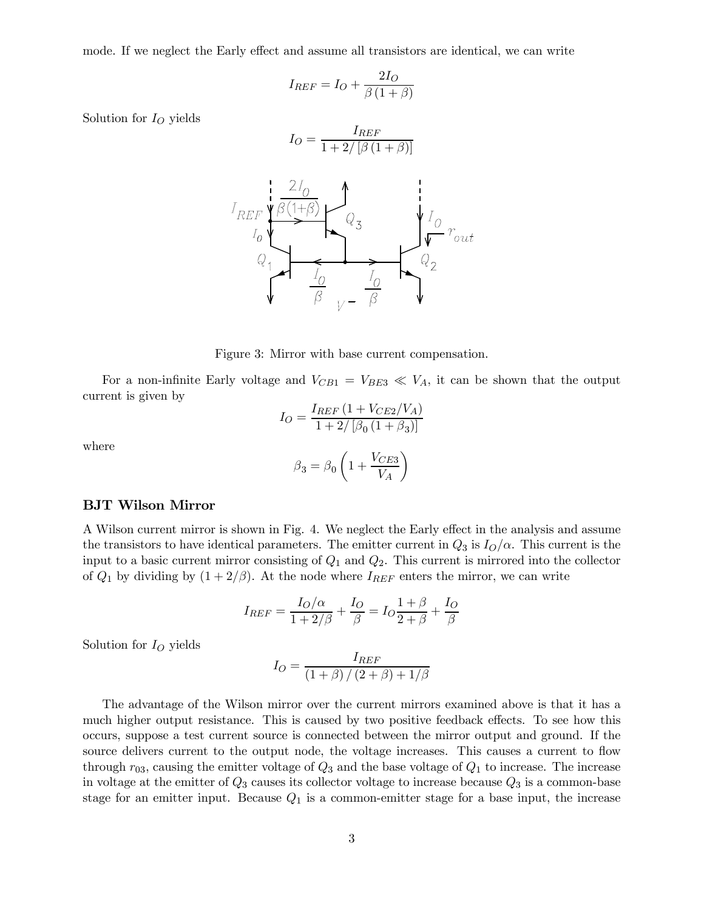mode. If we neglect the Early effect and assume all transistors are identical, we can write

$$
I_{REF} = I_O + \frac{2I_O}{\beta(1+\beta)}
$$

Solution for  $I<sub>O</sub>$  yields

$$
I_O = \frac{I_{REF}}{1 + 2/\left[\beta\left(1 + \beta\right)\right]}
$$



Figure 3: Mirror with base current compensation.

For a non-infinite Early voltage and  $V_{CB1} = V_{BE3} \ll V_A$ , it can be shown that the output current is given by

$$
I_O = \frac{I_{REF} (1 + V_{CE2}/V_A)}{1 + 2/\left[\beta_0 (1 + \beta_3)\right]}
$$

where

$$
\beta_3=\beta_0\left(1+\frac{V_{CE3}}{V_A}\right)
$$

## BJT Wilson Mirror

A Wilson current mirror is shown in Fig. 4. We neglect the Early effect in the analysis and assume the transistors to have identical parameters. The emitter current in  $Q_3$  is  $I_O/\alpha$ . This current is the input to a basic current mirror consisting of  $Q_1$  and  $Q_2$ . This current is mirrored into the collector of  $Q_1$  by dividing by  $(1+2/\beta)$ . At the node where  $I_{REF}$  enters the mirror, we can write

$$
I_{REF}=\frac{I_O/\alpha}{1+2/\beta}+\frac{I_O}{\beta}=I_O\frac{1+\beta}{2+\beta}+\frac{I_O}{\beta}
$$

Solution for  $I<sub>O</sub>$  yields

$$
I_O = \frac{I_{REF}}{(1+\beta)/(2+\beta)+1/\beta}
$$

The advantage of the Wilson mirror over the current mirrors examined above is that it has a much higher output resistance. This is caused by two positive feedback effects. To see how this occurs, suppose a test current source is connected between the mirror output and ground. If the source delivers current to the output node, the voltage increases. This causes a current to flow through  $r_{03}$ , causing the emitter voltage of  $Q_3$  and the base voltage of  $Q_1$  to increase. The increase in voltage at the emitter of  $Q_3$  causes its collector voltage to increase because  $Q_3$  is a common-base stage for an emitter input. Because  $Q_1$  is a common-emitter stage for a base input, the increase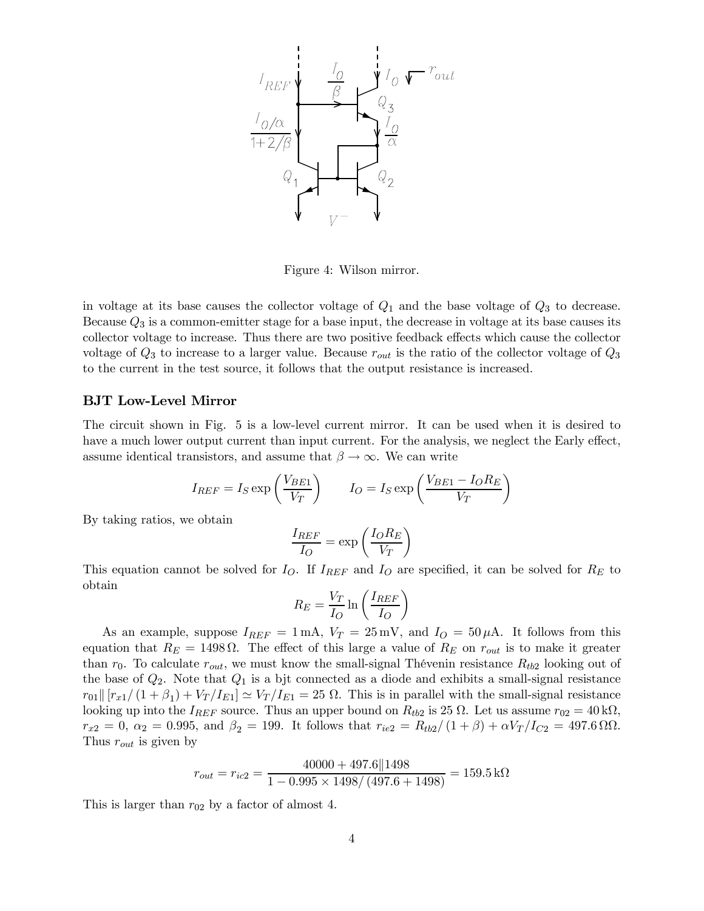

Figure 4: Wilson mirror.

in voltage at its base causes the collector voltage of  $Q_1$  and the base voltage of  $Q_3$  to decrease. Because  $Q_3$  is a common-emitter stage for a base input, the decrease in voltage at its base causes its collector voltage to increase. Thus there are two positive feedback effects which cause the collector voltage of  $Q_3$  to increase to a larger value. Because  $r_{out}$  is the ratio of the collector voltage of  $Q_3$ to the current in the test source, it follows that the output resistance is increased.

## BJT Low-Level Mirror

The circuit shown in Fig. 5 is a low-level current mirror. It can be used when it is desired to have a much lower output current than input current. For the analysis, we neglect the Early effect, assume identical transistors, and assume that  $\beta \to \infty$ . We can write

$$
I_{REF} = I_S \exp\left(\frac{V_{BE1}}{V_T}\right) \qquad I_O = I_S \exp\left(\frac{V_{BE1} - I_O R_E}{V_T}\right)
$$

By taking ratios, we obtain

$$
\frac{I_{REF}}{I_O} = \exp\left(\frac{I_O R_E}{V_T}\right)
$$

This equation cannot be solved for  $I_O$ . If  $I_{REF}$  and  $I_O$  are specified, it can be solved for  $R_E$  to obtain

$$
R_E = \frac{V_T}{I_O} \ln \left( \frac{I_{REF}}{I_O} \right)
$$

As an example, suppose  $I_{REF} = 1 \text{ mA}$ ,  $V_T = 25 \text{ mV}$ , and  $I_Q = 50 \mu\text{A}$ . It follows from this equation that  $R_E = 1498 \Omega$ . The effect of this large a value of  $R_E$  on  $r_{out}$  is to make it greater than  $r_0$ . To calculate  $r_{out}$ , we must know the small-signal Thévenin resistance  $R_{tb2}$  looking out of the base of  $Q_2$ . Note that  $Q_1$  is a bjt connected as a diode and exhibits a small-signal resistance  $r_{01}$   $[r_{x1}/(1+\beta_1)+V_T/I_{E1}] \simeq V_T/I_{E1} = 25 \Omega$ . This is in parallel with the small-signal resistance looking up into the  $I_{REF}$  source. Thus an upper bound on  $R_{tb2}$  is 25  $\Omega$ . Let us assume  $r_{02} = 40 \text{ k}\Omega$ ,  $r_{x2} = 0$ ,  $\alpha_2 = 0.995$ , and  $\beta_2 = 199$ . It follows that  $r_{ie2} = R_{tb2}/(1+\beta) + \alpha V_T/I_{C2} = 497.6 \Omega \Omega$ . Thus  $r_{out}$  is given by

$$
r_{out} = r_{ic2} = \frac{40000 + 497.6||1498}{1 - 0.995 \times 1498 / (497.6 + 1498)} = 159.5 \,\text{k}\Omega
$$

This is larger than  $r_{02}$  by a factor of almost 4.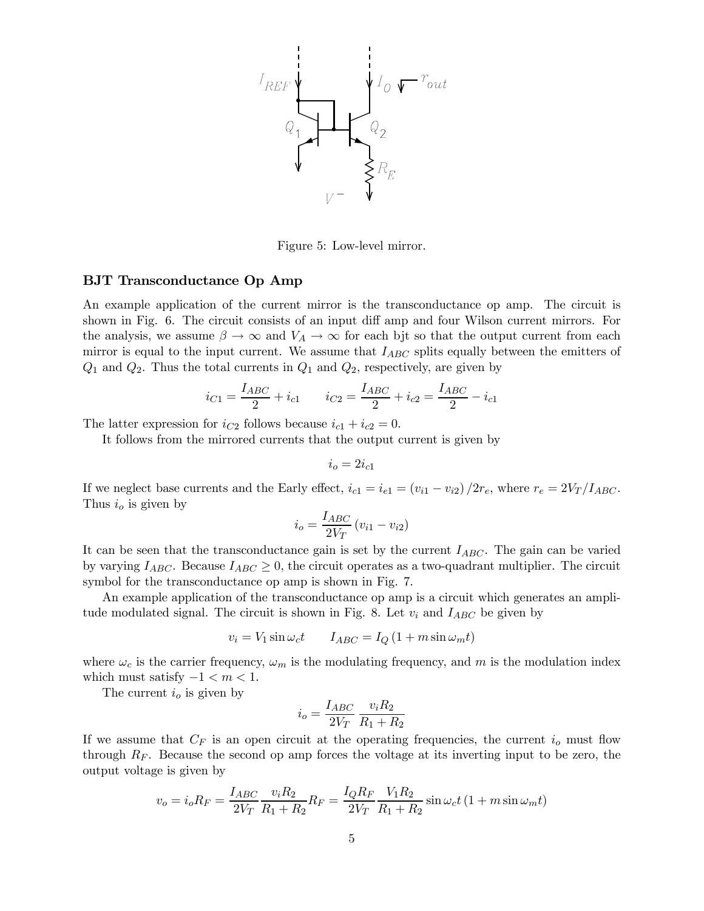

Figure 5: Low-level mirror.

### BJT Transconductance Op Amp

An example application of the current mirror is the transconductance op amp. The circuit is shown in Fig. 6. The circuit consists of an input diff amp and four Wilson current mirrors. For the analysis, we assume  $\beta \to \infty$  and  $V_A \to \infty$  for each bjt so that the output current from each mirror is equal to the input current. We assume that  $I_{ABC}$  splits equally between the emitters of  $Q_1$  and  $Q_2$ . Thus the total currents in  $Q_1$  and  $Q_2$ , respectively, are given by

$$
i_{C1} = \frac{I_{ABC}}{2} + i_{c1} \qquad i_{C2} = \frac{I_{ABC}}{2} + i_{c2} = \frac{I_{ABC}}{2} - i_{c1}
$$

The latter expression for  $i_{C2}$  follows because  $i_{c1} + i_{c2} = 0$ .

It follows from the mirrored currents that the output current is given by

$$
i_o=2i_{c1}\,
$$

If we neglect base currents and the Early effect,  $i_{c1} = i_{e1} = (v_{i1} - v_{i2})/2r_e$ , where  $r_e = 2V_T/I_{ABC}$ . Thus  $i<sub>o</sub>$  is given by

$$
i_o = \frac{I_{ABC}}{2V_T} (v_{i1} - v_{i2})
$$

It can be seen that the transconductance gain is set by the current  $I_{ABC}$ . The gain can be varied by varying  $I_{ABC}$ . Because  $I_{ABC} \geq 0$ , the circuit operates as a two-quadrant multiplier. The circuit symbol for the transconductance op amp is shown in Fig. 7.

An example application of the transconductance op amp is a circuit which generates an amplitude modulated signal. The circuit is shown in Fig. 8. Let  $v_i$  and  $I_{ABC}$  be given by

$$
v_i = V_1 \sin \omega_c t \qquad I_{ABC} = I_Q \left( 1 + m \sin \omega_m t \right)
$$

where  $\omega_c$  is the carrier frequency,  $\omega_m$  is the modulating frequency, and m is the modulation index which must satisfy  $-1 < m < 1$ .

The current  $i<sub>o</sub>$  is given by

$$
i_o = \frac{I_{ABC}}{2V_T} \, \frac{v_i R_2}{R_1 + R_2}
$$

If we assume that  $C_F$  is an open circuit at the operating frequencies, the current  $i<sub>o</sub>$  must flow through  $R_F$ . Because the second op amp forces the voltage at its inverting input to be zero, the output voltage is given by

$$
v_{o}=i_{o}R_{F}=\frac{I_{ABC}}{2V_{T}}\frac{v_{i}R_{2}}{R_{1}+R_{2}}R_{F}=\frac{I_{Q}R_{F}}{2V_{T}}\frac{V_{1}R_{2}}{R_{1}+R_{2}}\sin\omega_{c}t\left(1+m\sin\omega_{m}t\right)
$$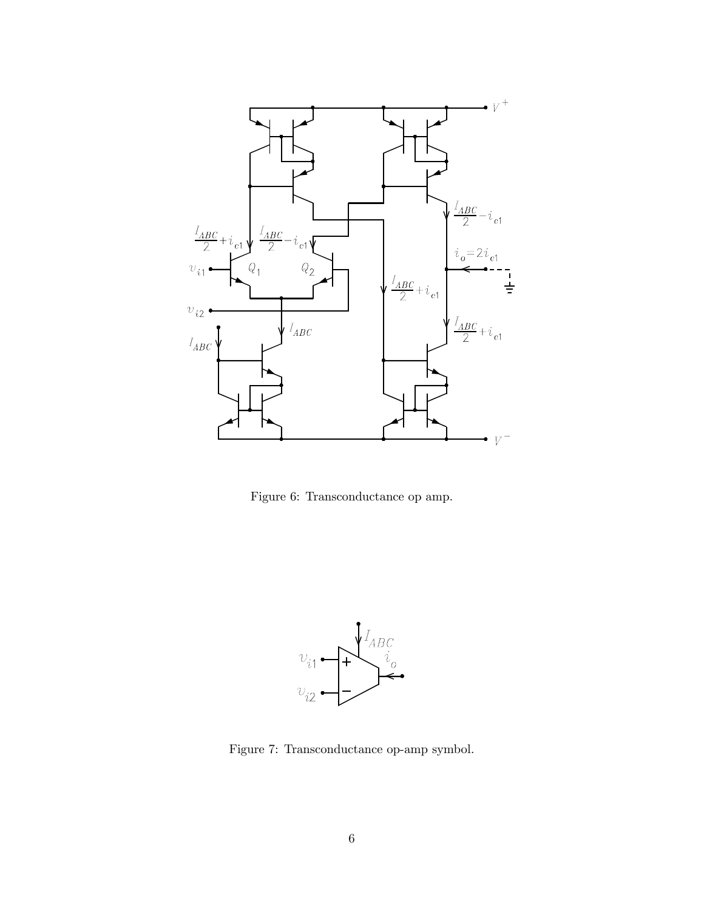

Figure 6: Transconductance op amp.



Figure 7: Transconductance op-amp symbol.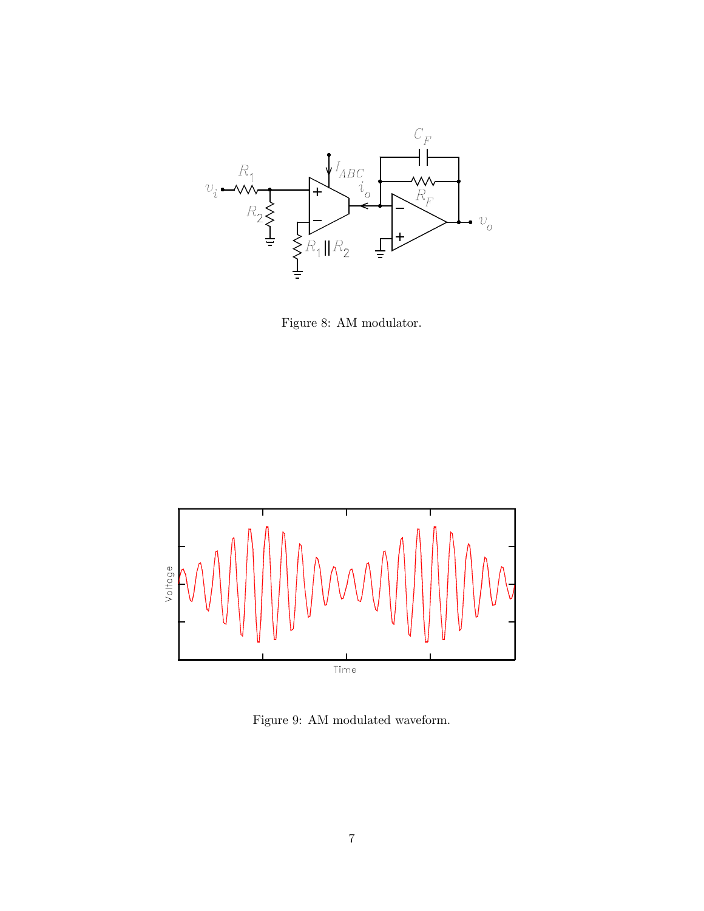

Figure 8: AM modulator.



Figure 9: AM modulated waveform.